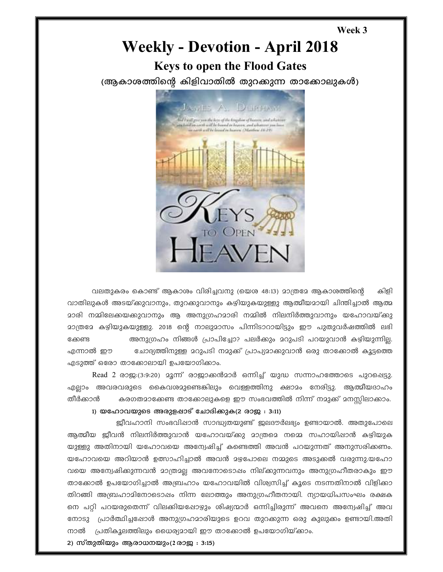#### Week 3

# **Weekly - Devotion - April 2018 Keys to open the Flood Gates**

(ആകാശത്തിന്റെ കിളിവാതിൽ തുറക്കുന്ന താക്കോലുകൾ)



വലതുകരം കൊണ്ട് ആകാശം വിരിചവനു (യെശ 48:13) മാത്രമേ ആകാശത്തിന്റെ കിളി വാതിലുകൾ അടയ്ക്കുവാനും, തുറക്കുവാനും കഴിയുകയുള്ളു ആത്മീയമായി ചിന്തിച്ചാൽ ആത്മ ദാരി നമ്മിലേക്കയക്കുവാനും ആ അനുഗ്രഹമാരി നമ്മിൽ നിലനിർത്തുവാനും യഹോവയ്ക്കു <u> മാത്രമേ കഴിയുകയുള്ളു. 2018 ന്റെ നാലുമാസം പിന്നിടാറായിട്ടും ഈ പുതുവർഷത്തിൽ ലഭി</u> അനുഗ്രഹം നിങ്ങൾ പ്രാപിച്ചോ? പലർക്കും മറുപടി പറയുവാൻ കഴിയുന്നില്ല. ക്കേണ്ട ചോദ്യത്തിനുള്ള മറുപടി നമുക്ക് പ്രാപ്യമാക്കുവാൻ ഒരു താക്കോൽ കൂട്ടത്തെ എന്നാൽ ഈ എടുത്ത് ഒരോ താക്കോലായി ഉപയോഗിക്കാം.

Read 2 രാജ്യ:(3:9:20) മൂന്ന് രാജാക്കൻമാർ ഒന്നിച്ച് യുദ്ധ സന്നാഹത്തോടെ പുറപ്പെട്ടു. എല്ലാം അവരവരുടെ കൈവശമുണ്ടെങ്കിലും വെള്ളത്തിനു ക്ഷാമം നേരിട്ടു. ആത്മീയദാഹം തീർക്കാൻ കരഗതമാക്കേണ്ട താക്കോലുകളെ ഈ സംഭവത്തിൽ നിന്ന് നമുക്ക് മനസ്സിലാക്കാം.

### 1) യഹോവയുടെ അരുളപ്പാട് ചോദിക്കുക(2 രാജ : 3:11)

ജീവഹാനി സംഭവിഷാൻ സാദ്ധ്യതയുണ്ട് ജലദൗർലഭ്യം ഉണ്ടായാൽ. അതുപോലെ ആത്മീയ ജീവൻ നിലനിർത്തുവാൻ യഹോവയ്ക്കു മാത്രമെ നമ്മെ സഹായിപ്പാൻ കഴിയുക യുള്ളു അതിനായി യഹോവയെ അന്വേഷിച്ച് കണ്ടെത്തി അവൻ പറയുന്നത് അനുസരിക്കണം. യഹോവയെ അറിയാൻ ഉത്സാഹിച്ചാൽ അവൻ മഴപോലെ നമ്മുടെ അടുക്കൽ വരുന്നു.യഹോ വയെ അന്വേഷിക്കുന്നവൻ മാത്രമല്ല അവനോടൊഷം നില്ക്കുന്നവനും അനുഗ്രഹീതരാകും ഈ താക്കോൽ ഉപയോഗിച്ചാൽ അബ്രഹാം യഹോവയിൽ വിശ്വസിച്ച് കുടെ നടന്നതിനാൽ വിളിക്കാ തിറങ്ങി അബ്രഹാമിനോടൊഷം നിന്ന ലോത്തും അനുഗ്രഹീതനായി. ന്യായധിപസംഘം രക്ഷക നെ പറ്റി പറയരുതെന്ന് വിലക്കിയപ്പോഴും ശിഷ്യന്മാർ ഒന്നിച്ചിരുന്ന് അവനെ അന്വേഷിച്ച് അവ നോടു പ്രാർത്ഥിച്ചപ്പോൾ അനുഗ്രഹമാരിയുടെ ഉറവ തുറക്കുന്ന ഒരു കുലുക്കം ഉണ്ടായി.അതി പ്രതികൂലത്തിലും ധൈര്യമായി ഈ താക്കോൽ ഉപയോഗിയ്ക്കാം. നാൽ

2) സ്തുതിയും ആരാധനയും(2 രാജ : 3:15)